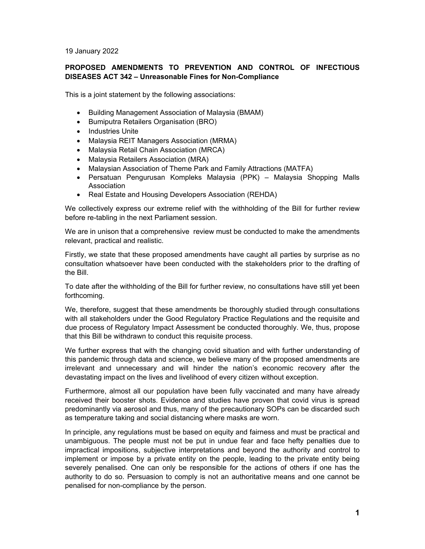19 January 2022

## **PROPOSED AMENDMENTS TO PREVENTION AND CONTROL OF INFECTIOUS DISEASES ACT 342 – Unreasonable Fines for Non-Compliance**

This is a joint statement by the following associations:

- Building Management Association of Malaysia (BMAM)
- Bumiputra Retailers Organisation (BRO)
- Industries Unite
- Malaysia REIT Managers Association (MRMA)
- Malaysia Retail Chain Association (MRCA)
- Malaysia Retailers Association (MRA)
- Malaysian Association of Theme Park and Family Attractions (MATFA)
- Persatuan Pengurusan Kompleks Malaysia (PPK) Malaysia Shopping Malls Association
- Real Estate and Housing Developers Association (REHDA)

We collectively express our extreme relief with the withholding of the Bill for further review before re-tabling in the next Parliament session.

We are in unison that a comprehensive review must be conducted to make the amendments relevant, practical and realistic.

Firstly, we state that these proposed amendments have caught all parties by surprise as no consultation whatsoever have been conducted with the stakeholders prior to the drafting of the Bill.

To date after the withholding of the Bill for further review, no consultations have still yet been forthcoming.

We, therefore, suggest that these amendments be thoroughly studied through consultations with all stakeholders under the Good Regulatory Practice Regulations and the requisite and due process of Regulatory Impact Assessment be conducted thoroughly. We, thus, propose that this Bill be withdrawn to conduct this requisite process.

We further express that with the changing covid situation and with further understanding of this pandemic through data and science, we believe many of the proposed amendments are irrelevant and unnecessary and will hinder the nation's economic recovery after the devastating impact on the lives and livelihood of every citizen without exception.

Furthermore, almost all our population have been fully vaccinated and many have already received their booster shots. Evidence and studies have proven that covid virus is spread predominantly via aerosol and thus, many of the precautionary SOPs can be discarded such as temperature taking and social distancing where masks are worn.

In principle, any regulations must be based on equity and fairness and must be practical and unambiguous. The people must not be put in undue fear and face hefty penalties due to impractical impositions, subjective interpretations and beyond the authority and control to implement or impose by a private entity on the people, leading to the private entity being severely penalised. One can only be responsible for the actions of others if one has the authority to do so. Persuasion to comply is not an authoritative means and one cannot be penalised for non-compliance by the person.